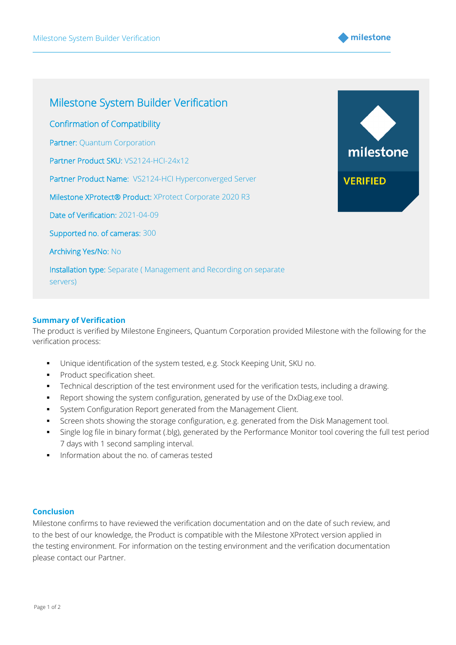



## **Summary of Verification**

The product is verified by Milestone Engineers, Quantum Corporation provided Milestone with the following for the verification process:

- Unique identification of the system tested, e.g. Stock Keeping Unit, SKU no.
- Product specification sheet.
- **•** Technical description of the test environment used for the verification tests, including a drawing.
- Report showing the system configuration, generated by use of the DxDiag.exe tool.
- **•** System Configuration Report generated from the Management Client.
- **•** Screen shots showing the storage configuration, e.g. generated from the Disk Management tool.
- Single log file in binary format (.blg), generated by the Performance Monitor tool covering the full test period 7 days with 1 second sampling interval.
- Information about the no. of cameras tested

## **Conclusion**

Milestone confirms to have reviewed the verification documentation and on the date of such review, and to the best of our knowledge, the Product is compatible with the Milestone XProtect version applied in the testing environment. For information on the testing environment and the verification documentation please contact our Partner.